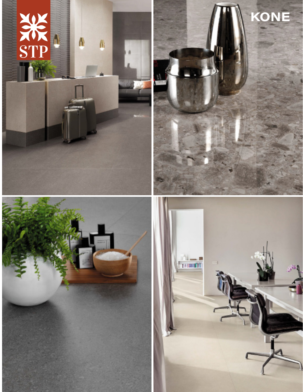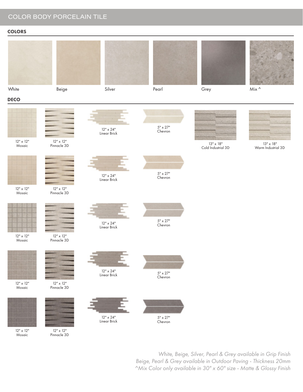# COLOR BODY PORCELAIN TILE

## **COLORS**



12" x 12" Mosaic

12" x 12" Pinnacle 3D

> *White, Beige, Silver, Pearl & Grey available in Grip Finish Beige, Pearl & Grey available in Outdoor Paving - Thickness 20mm ^Mix Color only available in 30" x 60" size - Matte & Glossy Finish*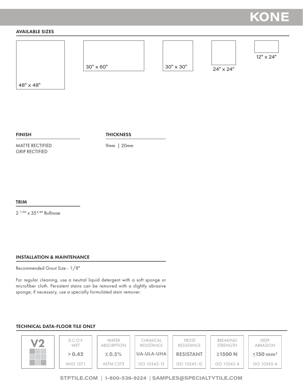# **KONE**

## AVAILABLE SIZES



48" x 48"

FINISH

**THICKNESS** 

MATTE RECTIFIED GRIP RECTIFIED

9mm | 20mm

TRIM

2 7/8" x 353/8" Bullnose

#### INSTALLATION & MAINTENANCE

Recommended Grout Size - 1/8"

For regular cleaning, use a neutral liquid detergent with a soft sponge or microfiber cloth. Persistent stains can be removed with a slightly abrasive sponge; if necessary, use a specially formulated stain remover.

#### TECHNICAL DATA-FLOOR TILE ONLY



**STPTILE.COM** | **1-800-536-9224** | **SAMPLES@SPECIALTYTILE.COM**